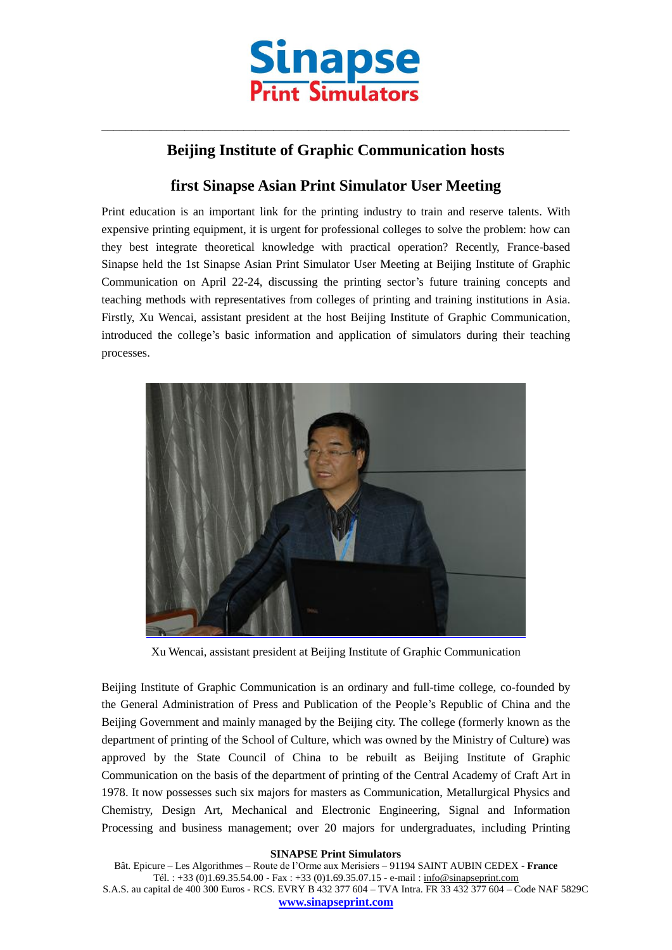

## **Beijing Institute of Graphic Communication hosts**

 $\_$  , and the set of the set of the set of the set of the set of the set of the set of the set of the set of the set of the set of the set of the set of the set of the set of the set of the set of the set of the set of th

## **first Sinapse Asian Print Simulator User Meeting**

Print education is an important link for the printing industry to train and reserve talents. With expensive printing equipment, it is urgent for professional colleges to solve the problem: how can they best integrate theoretical knowledge with practical operation? Recently, France-based Sinapse held the 1st Sinapse Asian Print Simulator User Meeting at Beijing Institute of Graphic Communication on April 22-24, discussing the printing sector's future training concepts and teaching methods with representatives from colleges of printing and training institutions in Asia. Firstly, Xu Wencai, assistant president at the host Beijing Institute of Graphic Communication, introduced the college's basic information and application of simulators during their teaching processes.



Xu Wencai, assistant president at Beijing Institute of Graphic Communication

Beijing Institute of Graphic Communication is an ordinary and full-time college, co-founded by the General Administration of Press and Publication of the People's Republic of China and the Beijing Government and mainly managed by the Beijing city. The college (formerly known as the department of printing of the School of Culture, which was owned by the Ministry of Culture) was approved by the State Council of China to be rebuilt as Beijing Institute of Graphic Communication on the basis of the department of printing of the Central Academy of Craft Art in 1978. It now possesses such six majors for masters as Communication, Metallurgical Physics and Chemistry, Design Art, Mechanical and Electronic Engineering, Signal and Information Processing and business management; over 20 majors for undergraduates, including Printing

## **SINAPSE Print Simulators**

Bât. Epicure – Les Algorithmes – Route de l'Orme aux Merisiers – 91194 SAINT AUBIN CEDEX - **France** Tél. : +33 (0)1.69.35.54.00 - Fax : +33 (0)1.69.35.07.15 - e-mail : info@sinapseprint.com S.A.S. au capital de 400 300 Euros - RCS. EVRY B 432 377 604 – TVA Intra. FR 33 432 377 604 – Code NAF 5829C **[www.sinapseprint.com](http://www.sinapseprint.com/)**